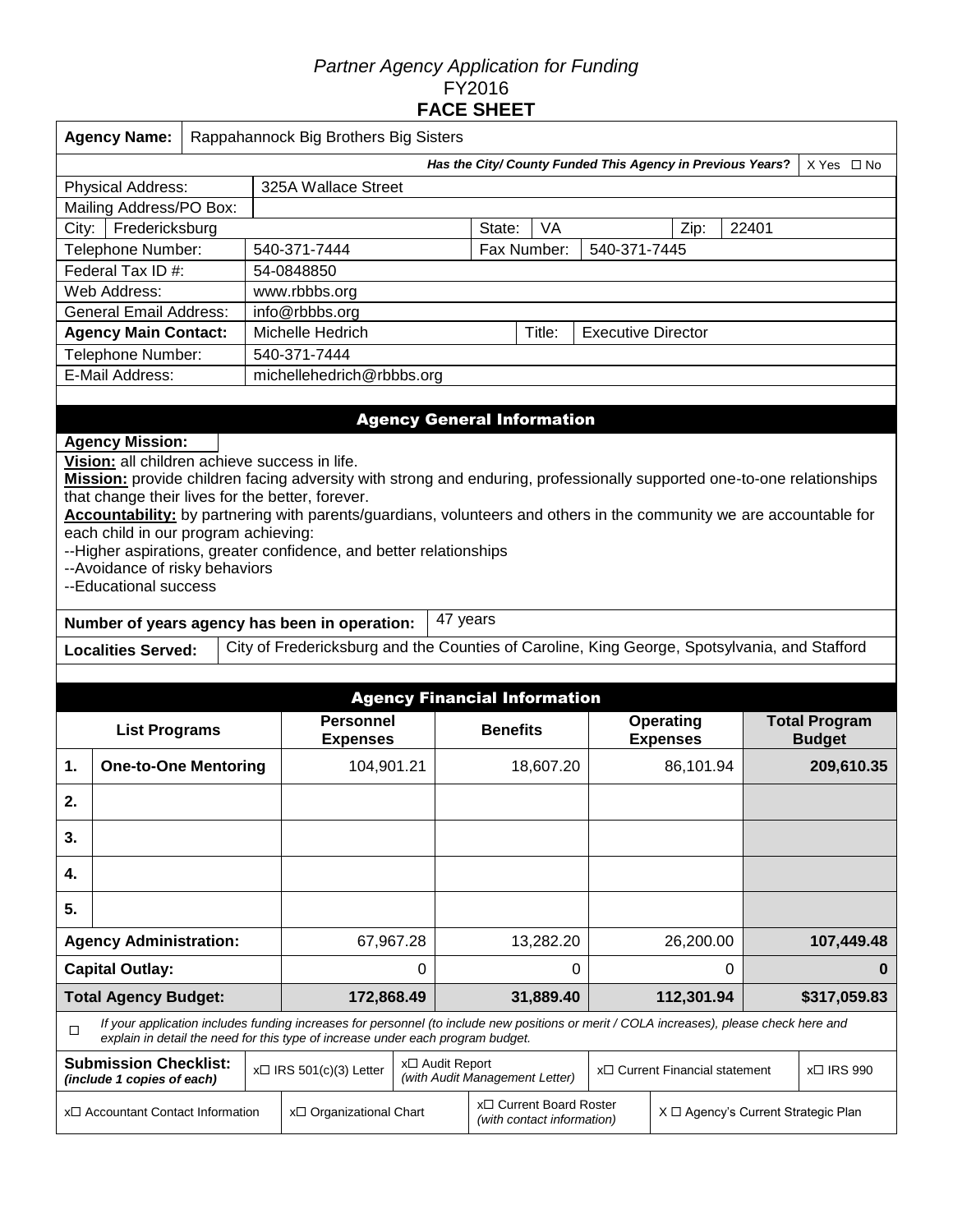## *Partner Agency Application for Funding*  FY2016 **FACE SHEET**

| <b>Agency Name:</b>           | Rappahannock Big Brothers Big Sisters |        |             |                                                            |      |       |                       |  |  |
|-------------------------------|---------------------------------------|--------|-------------|------------------------------------------------------------|------|-------|-----------------------|--|--|
|                               |                                       |        |             | Has the City/ County Funded This Agency in Previous Years? |      |       | X Yes<br>$\square$ No |  |  |
| <b>Physical Address:</b>      | 325A Wallace Street                   |        |             |                                                            |      |       |                       |  |  |
| Mailing Address/PO Box:       |                                       |        |             |                                                            |      |       |                       |  |  |
| Fredericksburg<br>City:       |                                       | State: | VA          |                                                            | Zip: | 22401 |                       |  |  |
| Telephone Number:             | 540-371-7444                          |        | Fax Number: | 540-371-7445                                               |      |       |                       |  |  |
| Federal Tax ID #:             | 54-0848850                            |        |             |                                                            |      |       |                       |  |  |
| Web Address:                  | www.rbbbs.org                         |        |             |                                                            |      |       |                       |  |  |
| <b>General Email Address:</b> | info@rbbbs.org                        |        |             |                                                            |      |       |                       |  |  |
| <b>Agency Main Contact:</b>   | Michelle Hedrich                      |        | Title:      | <b>Executive Director</b>                                  |      |       |                       |  |  |
| Telephone Number:             | 540-371-7444                          |        |             |                                                            |      |       |                       |  |  |
| E-Mail Address:               | michellehedrich@rbbbs.org             |        |             |                                                            |      |       |                       |  |  |
|                               |                                       |        |             |                                                            |      |       |                       |  |  |

## Agency General Information

## **Agency Mission:**

**Vision:** all children achieve success in life.

**Mission:** provide children facing adversity with strong and enduring, professionally supported one-to-one relationships that change their lives for the better, forever.

**Accountability:** by partnering with parents/guardians, volunteers and others in the community we are accountable for each child in our program achieving:

--Higher aspirations, greater confidence, and better relationships

--Avoidance of risky behaviors

--Educational success

**Number of years agency has been in operation:** 47 years

Localities Served: City of Fredericksburg and the Counties of Caroline, King George, Spotsylvania, and Stafford

|                                                            |                                                                                                                                                                                                                             |  |                                     |   |                                                   | <b>Agency Financial Information</b>                   |                                             |                              |  |                                       |
|------------------------------------------------------------|-----------------------------------------------------------------------------------------------------------------------------------------------------------------------------------------------------------------------------|--|-------------------------------------|---|---------------------------------------------------|-------------------------------------------------------|---------------------------------------------|------------------------------|--|---------------------------------------|
|                                                            | <b>List Programs</b>                                                                                                                                                                                                        |  | <b>Personnel</b><br><b>Expenses</b> |   | <b>Benefits</b>                                   |                                                       |                                             | Operating<br><b>Expenses</b> |  | <b>Total Program</b><br><b>Budget</b> |
| 1.                                                         | <b>One-to-One Mentoring</b>                                                                                                                                                                                                 |  | 104,901.21                          |   |                                                   | 18,607.20                                             |                                             | 86,101.94                    |  | 209,610.35                            |
| 2.                                                         |                                                                                                                                                                                                                             |  |                                     |   |                                                   |                                                       |                                             |                              |  |                                       |
| 3.                                                         |                                                                                                                                                                                                                             |  |                                     |   |                                                   |                                                       |                                             |                              |  |                                       |
| 4.                                                         |                                                                                                                                                                                                                             |  |                                     |   |                                                   |                                                       |                                             |                              |  |                                       |
| 5.                                                         |                                                                                                                                                                                                                             |  |                                     |   |                                                   |                                                       |                                             |                              |  |                                       |
|                                                            | <b>Agency Administration:</b>                                                                                                                                                                                               |  | 67,967.28                           |   |                                                   | 13,282.20                                             |                                             | 26,200.00                    |  | 107,449.48                            |
|                                                            | <b>Capital Outlay:</b>                                                                                                                                                                                                      |  |                                     | 0 |                                                   | 0                                                     |                                             | $\Omega$                     |  | 0                                     |
|                                                            | <b>Total Agency Budget:</b>                                                                                                                                                                                                 |  | 172,868.49                          |   |                                                   | 31,889.40                                             |                                             | 112,301.94                   |  | \$317,059.83                          |
| $\Box$                                                     | If your application includes funding increases for personnel (to include new positions or merit / COLA increases), please check here and<br>explain in detail the need for this type of increase under each program budget. |  |                                     |   |                                                   |                                                       |                                             |                              |  |                                       |
| <b>Submission Checklist:</b><br>(include 1 copies of each) |                                                                                                                                                                                                                             |  | $x\Box$ IRS 501(c)(3) Letter        |   | x□ Audit Report<br>(with Audit Management Letter) |                                                       | x□ Current Financial statement              |                              |  | $x \Box$ IRS 990                      |
|                                                            | x□ Accountant Contact Information                                                                                                                                                                                           |  | x□ Organizational Chart             |   |                                                   | x□ Current Board Roster<br>(with contact information) | $X \square$ Agency's Current Strategic Plan |                              |  |                                       |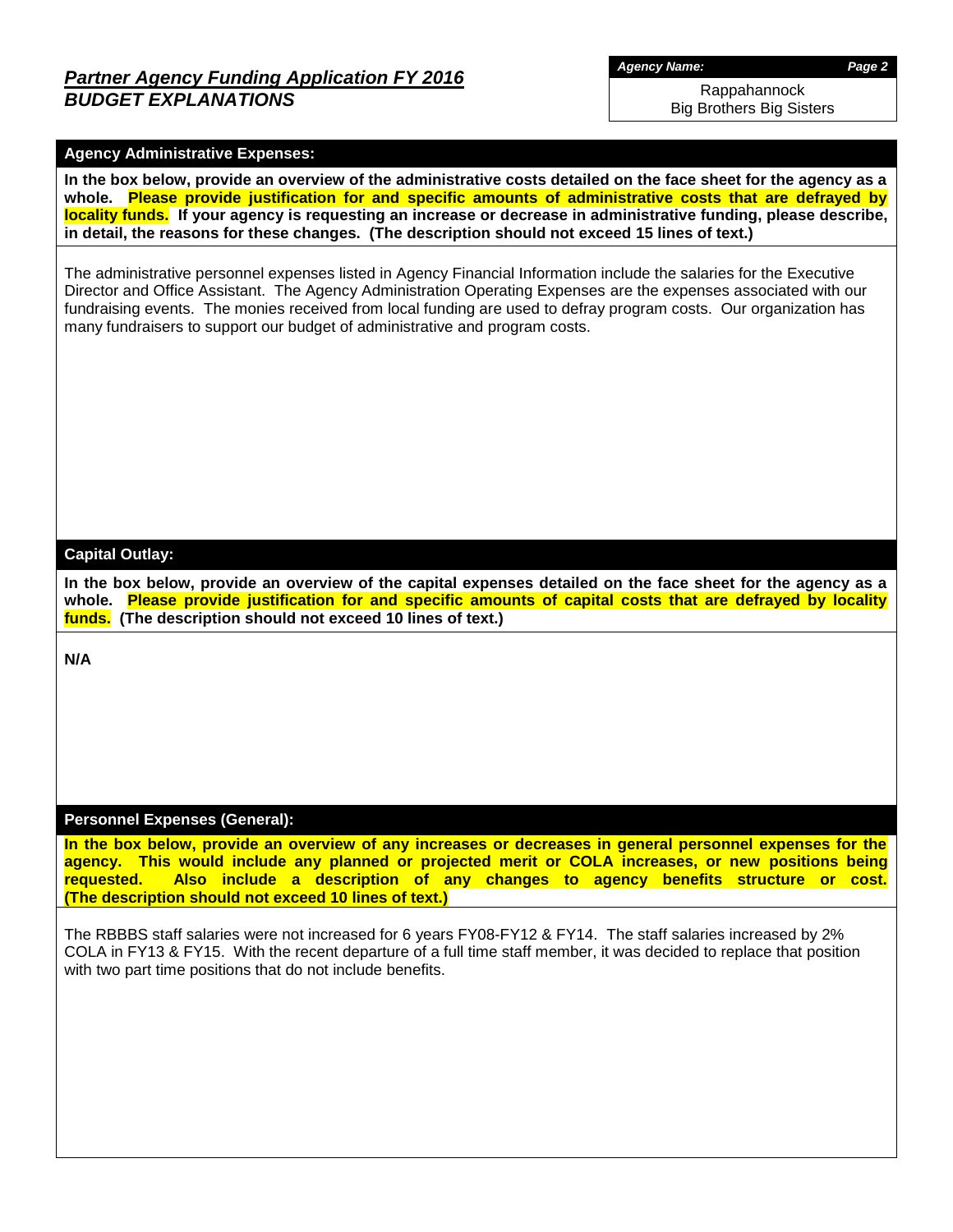# *Partner Agency Funding Application FY 2016 BUDGET EXPLANATIONS*

*Agency Name: Page 2*

Rappahannock Big Brothers Big Sisters

## **Agency Administrative Expenses:**

**In the box below, provide an overview of the administrative costs detailed on the face sheet for the agency as a whole. Please provide justification for and specific amounts of administrative costs that are defrayed by locality funds. If your agency is requesting an increase or decrease in administrative funding, please describe, in detail, the reasons for these changes. (The description should not exceed 15 lines of text.)**

The administrative personnel expenses listed in Agency Financial Information include the salaries for the Executive Director and Office Assistant. The Agency Administration Operating Expenses are the expenses associated with our fundraising events. The monies received from local funding are used to defray program costs. Our organization has many fundraisers to support our budget of administrative and program costs.

### **Capital Outlay:**

**In the box below, provide an overview of the capital expenses detailed on the face sheet for the agency as a whole. Please provide justification for and specific amounts of capital costs that are defrayed by locality funds. (The description should not exceed 10 lines of text.)**

**N/A**

### **Personnel Expenses (General):**

**In the box below, provide an overview of any increases or decreases in general personnel expenses for the agency. This would include any planned or projected merit or COLA increases, or new positions being requested. Also include a description of any changes to agency benefits structure or cost. (The description should not exceed 10 lines of text.)**

The RBBBS staff salaries were not increased for 6 years FY08-FY12 & FY14. The staff salaries increased by 2% COLA in FY13 & FY15. With the recent departure of a full time staff member, it was decided to replace that position with two part time positions that do not include benefits.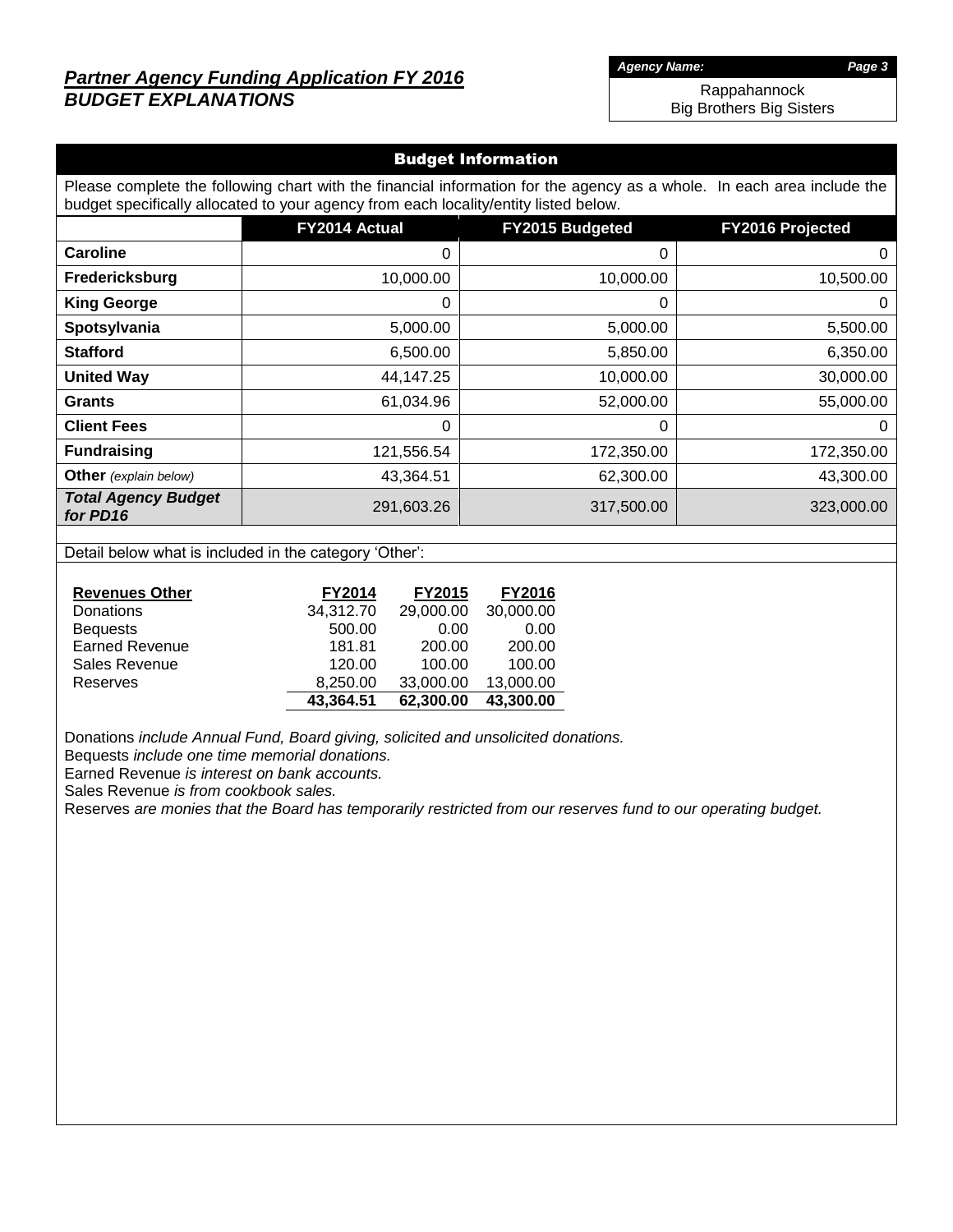# *Partner Agency Funding Application FY 2016 BUDGET EXPLANATIONS*

*Agency Name: Page 3*

Rappahannock Big Brothers Big Sisters

## Budget Information

Please complete the following chart with the financial information for the agency as a whole. In each area include the budget specifically allocated to your agency from each locality/entity listed below.

|                                        | FY2014 Actual | FY2015 Budgeted | <b>FY2016 Projected</b> |
|----------------------------------------|---------------|-----------------|-------------------------|
| <b>Caroline</b>                        | 0             | 0               | $\mathbf 0$             |
| Fredericksburg                         | 10,000.00     | 10,000.00       | 10,500.00               |
| <b>King George</b>                     | 0             | 0               | 0                       |
| Spotsylvania                           | 5,000.00      | 5,000.00        | 5,500.00                |
| <b>Stafford</b>                        | 6,500.00      | 5,850.00        | 6,350.00                |
| <b>United Way</b>                      | 44,147.25     | 10,000.00       | 30,000.00               |
| <b>Grants</b>                          | 61,034.96     | 52,000.00       | 55,000.00               |
| <b>Client Fees</b>                     | 0             | 0               | 0                       |
| <b>Fundraising</b>                     | 121,556.54    | 172,350.00      | 172,350.00              |
| <b>Other</b> (explain below)           | 43,364.51     | 62,300.00       | 43,300.00               |
| <b>Total Agency Budget</b><br>for PD16 | 291,603.26    | 317,500.00      | 323,000.00              |

Detail below what is included in the category 'Other':

| <b>Revenues Other</b> | <b>FY2014</b> | <b>FY2015</b> | <b>FY2016</b> |
|-----------------------|---------------|---------------|---------------|
| Donations             | 34,312.70     | 29,000.00     | 30,000.00     |
| <b>Bequests</b>       | 500.00        | 0.00          | 0.00          |
| <b>Earned Revenue</b> | 181.81        | 200.00        | 200.00        |
| Sales Revenue         | 120.00        | 100.00        | 100.00        |
| Reserves              | 8,250.00      | 33,000.00     | 13,000.00     |
|                       | 43.364.51     | 62,300.00     | 43,300.00     |

Donations *include Annual Fund, Board giving, solicited and unsolicited donations.*

Bequests *include one time memorial donations.*

Earned Revenue *is interest on bank accounts.*

Sales Revenue *is from cookbook sales.*

Reserves *are monies that the Board has temporarily restricted from our reserves fund to our operating budget.*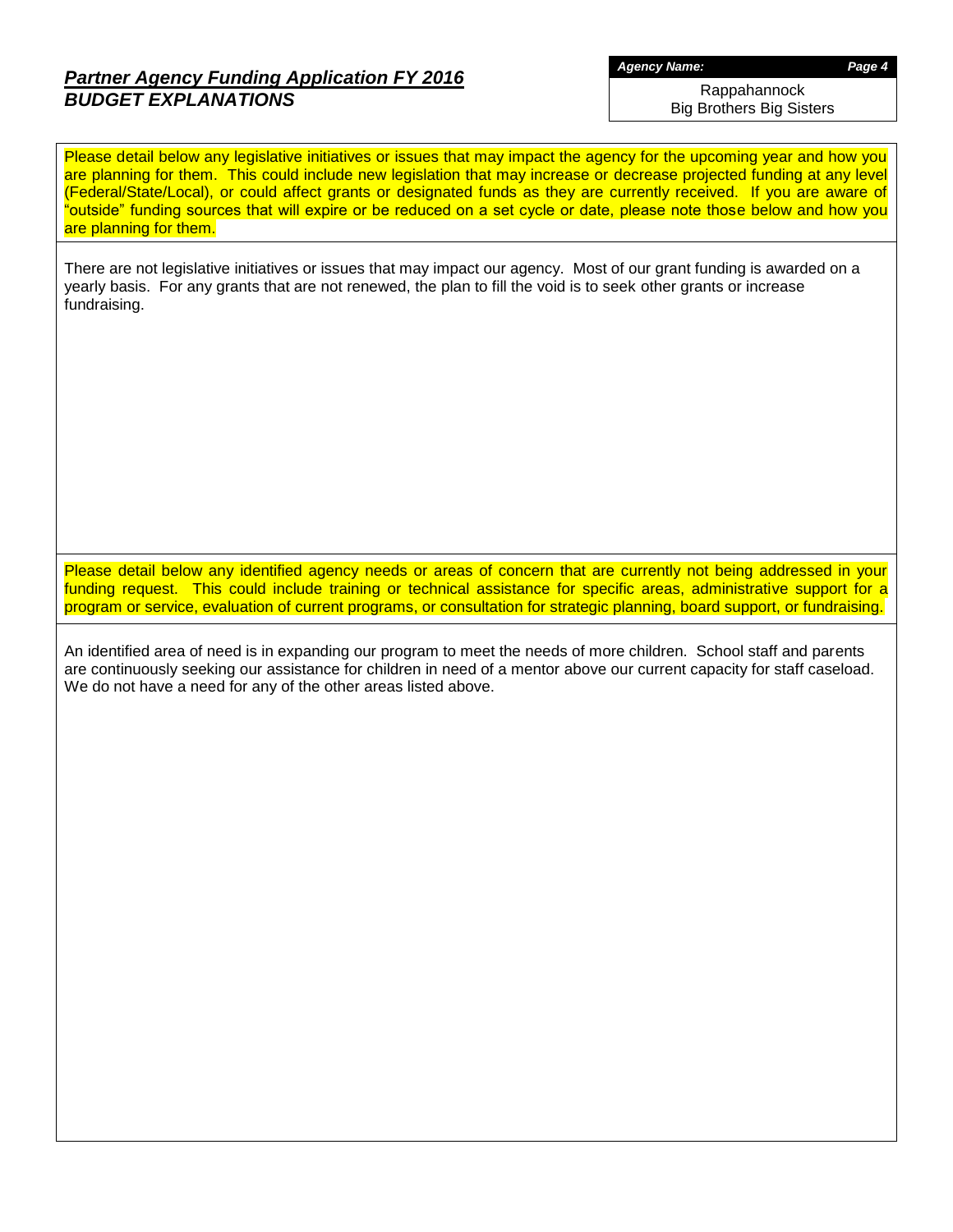# *Partner Agency Funding Application FY 2016 BUDGET EXPLANATIONS*

*Agency Name: Page 4*

Rappahannock Big Brothers Big Sisters

Please detail below any legislative initiatives or issues that may impact the agency for the upcoming year and how you are planning for them. This could include new legislation that may increase or decrease projected funding at any level (Federal/State/Local), or could affect grants or designated funds as they are currently received. If you are aware of "outside" funding sources that will expire or be reduced on a set cycle or date, please note those below and how you are planning for them.

There are not legislative initiatives or issues that may impact our agency. Most of our grant funding is awarded on a yearly basis. For any grants that are not renewed, the plan to fill the void is to seek other grants or increase fundraising.

Please detail below any identified agency needs or areas of concern that are currently not being addressed in your funding request. This could include training or technical assistance for specific areas, administrative support for a program or service, evaluation of current programs, or consultation for strategic planning, board support, or fundraising.

An identified area of need is in expanding our program to meet the needs of more children. School staff and parents are continuously seeking our assistance for children in need of a mentor above our current capacity for staff caseload. We do not have a need for any of the other areas listed above.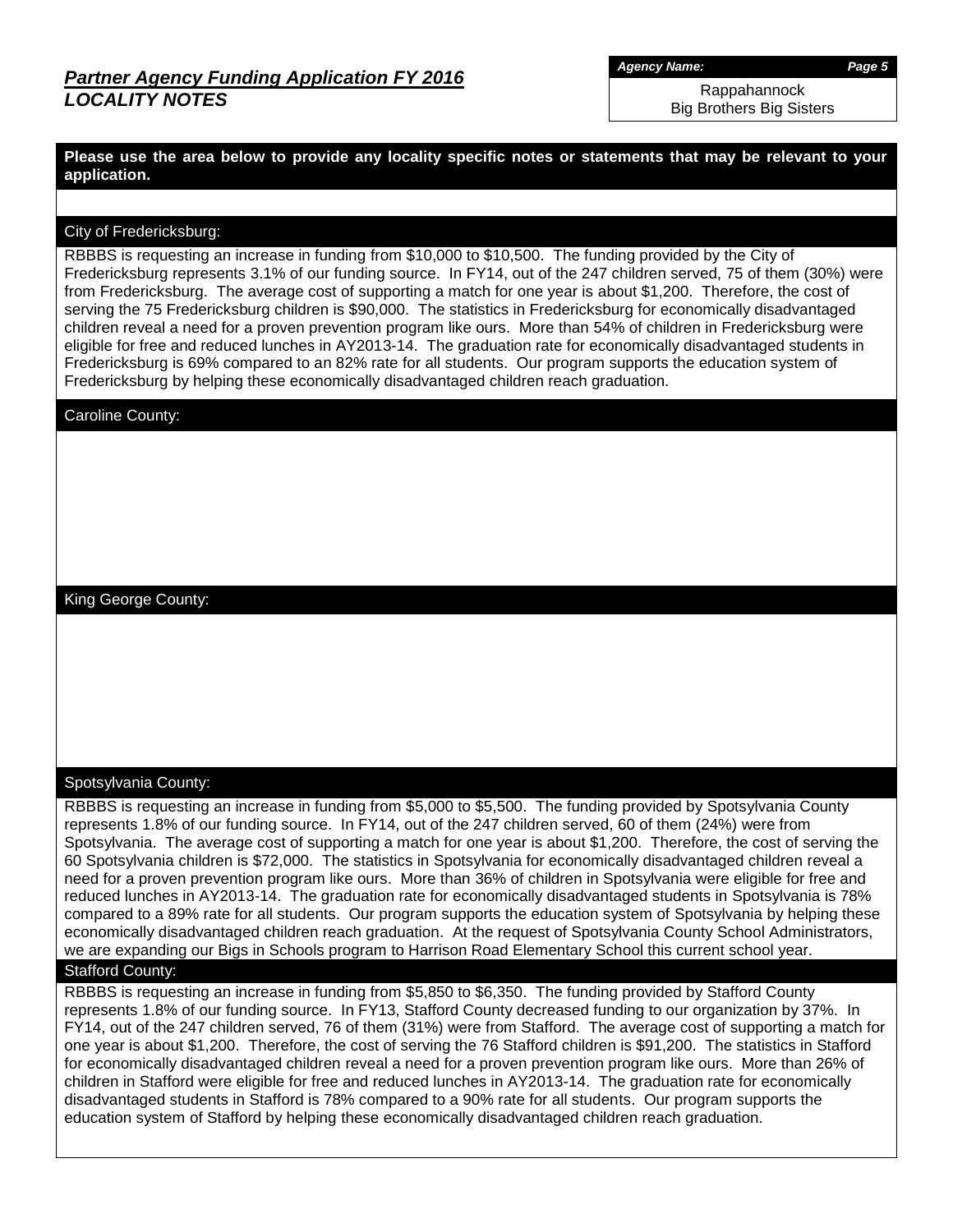*Agency Name: Page 5*

Rappahannock Big Brothers Big Sisters

**Please use the area below to provide any locality specific notes or statements that may be relevant to your application.**

### City of Fredericksburg:

RBBBS is requesting an increase in funding from \$10,000 to \$10,500. The funding provided by the City of Fredericksburg represents 3.1% of our funding source. In FY14, out of the 247 children served, 75 of them (30%) were from Fredericksburg. The average cost of supporting a match for one year is about \$1,200. Therefore, the cost of serving the 75 Fredericksburg children is \$90,000. The statistics in Fredericksburg for economically disadvantaged children reveal a need for a proven prevention program like ours. More than 54% of children in Fredericksburg were eligible for free and reduced lunches in AY2013-14. The graduation rate for economically disadvantaged students in Fredericksburg is 69% compared to an 82% rate for all students. Our program supports the education system of Fredericksburg by helping these economically disadvantaged children reach graduation.

Caroline County:

King George County:

### Spotsylvania County:

RBBBS is requesting an increase in funding from \$5,000 to \$5,500. The funding provided by Spotsylvania County represents 1.8% of our funding source. In FY14, out of the 247 children served, 60 of them (24%) were from Spotsylvania. The average cost of supporting a match for one year is about \$1,200. Therefore, the cost of serving the 60 Spotsylvania children is \$72,000. The statistics in Spotsylvania for economically disadvantaged children reveal a need for a proven prevention program like ours. More than 36% of children in Spotsylvania were eligible for free and reduced lunches in AY2013-14. The graduation rate for economically disadvantaged students in Spotsylvania is 78% compared to a 89% rate for all students. Our program supports the education system of Spotsylvania by helping these economically disadvantaged children reach graduation. At the request of Spotsylvania County School Administrators, we are expanding our Bigs in Schools program to Harrison Road Elementary School this current school year.

## Stafford County:

RBBBS is requesting an increase in funding from \$5,850 to \$6,350. The funding provided by Stafford County represents 1.8% of our funding source. In FY13, Stafford County decreased funding to our organization by 37%. In FY14, out of the 247 children served, 76 of them (31%) were from Stafford. The average cost of supporting a match for one year is about \$1,200. Therefore, the cost of serving the 76 Stafford children is \$91,200. The statistics in Stafford for economically disadvantaged children reveal a need for a proven prevention program like ours. More than 26% of children in Stafford were eligible for free and reduced lunches in AY2013-14. The graduation rate for economically disadvantaged students in Stafford is 78% compared to a 90% rate for all students. Our program supports the education system of Stafford by helping these economically disadvantaged children reach graduation.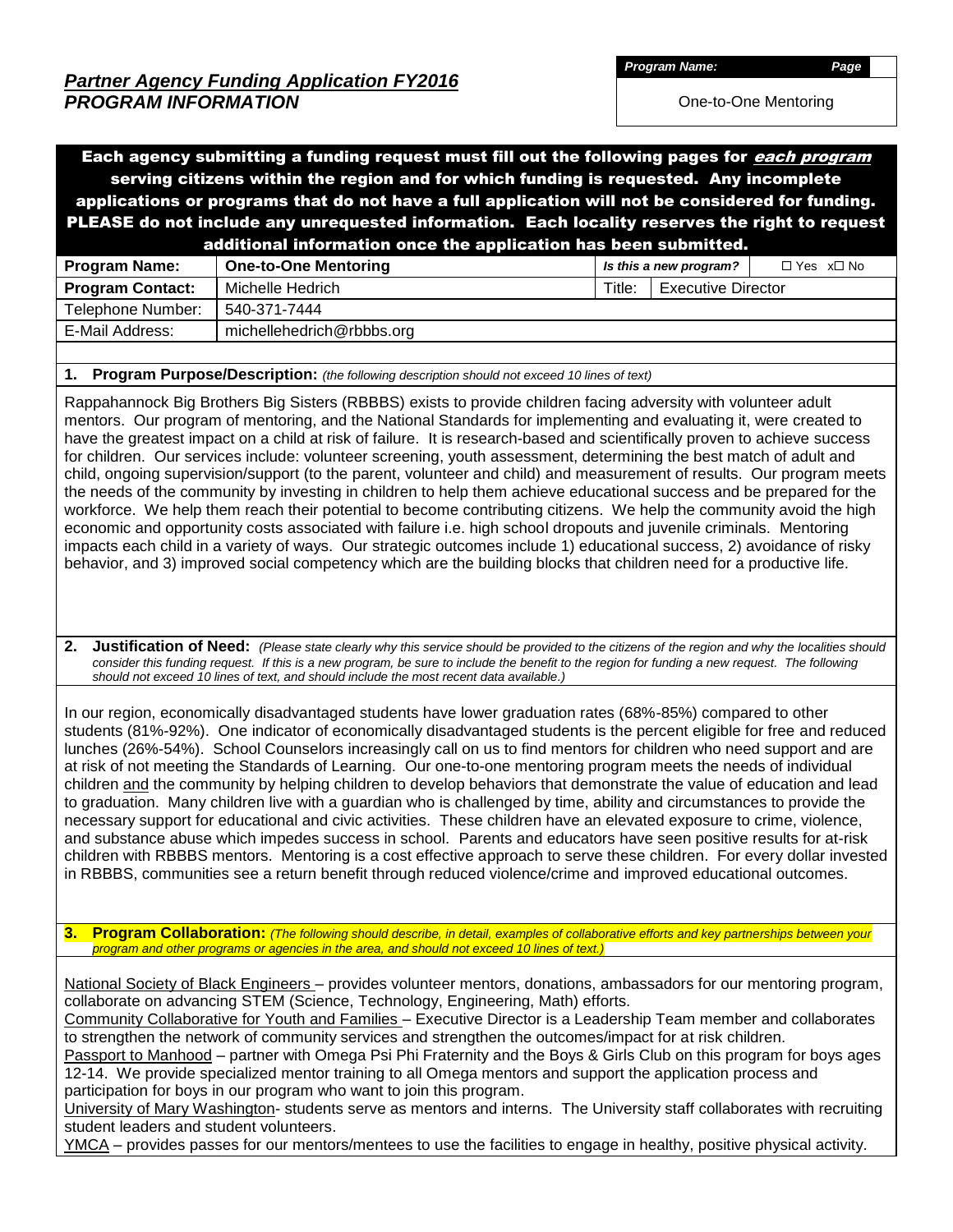*Partner Agency Funding Application FY2016 PROGRAM INFORMATION*

*Program Name: Page*

One-to-One Mentoring

## Each agency submitting a funding request must fill out the following pages for *each program* serving citizens within the region and for which funding is requested. Any incomplete applications or programs that do not have a full application will not be considered for funding. PLEASE do not include any unrequested information. Each locality reserves the right to request additional information once the application has been submitted.

|                         | .                           |        |                           |             |
|-------------------------|-----------------------------|--------|---------------------------|-------------|
| <b>Program Name:</b>    | <b>One-to-One Mentoring</b> |        | Is this a new program?    | □ Yes x□ No |
| <b>Program Contact:</b> | Michelle Hedrich            | Title: | <b>Executive Director</b> |             |
| Telephone Number:       | 540-371-7444                |        |                           |             |
| E-Mail Address:         | michellehedrich@rbbbs.org   |        |                           |             |
|                         |                             |        |                           |             |

**1. Program Purpose/Description:** *(the following description should not exceed 10 lines of text)*

Rappahannock Big Brothers Big Sisters (RBBBS) exists to provide children facing adversity with volunteer adult mentors. Our program of mentoring, and the National Standards for implementing and evaluating it, were created to have the greatest impact on a child at risk of failure. It is research-based and scientifically proven to achieve success for children. Our services include: volunteer screening, youth assessment, determining the best match of adult and child, ongoing supervision/support (to the parent, volunteer and child) and measurement of results. Our program meets the needs of the community by investing in children to help them achieve educational success and be prepared for the workforce. We help them reach their potential to become contributing citizens. We help the community avoid the high economic and opportunity costs associated with failure i.e. high school dropouts and juvenile criminals. Mentoring impacts each child in a variety of ways. Our strategic outcomes include 1) educational success, 2) avoidance of risky behavior, and 3) improved social competency which are the building blocks that children need for a productive life.

**2. Justification of Need:** *(Please state clearly why this service should be provided to the citizens of the region and why the localities should consider this funding request. If this is a new program, be sure to include the benefit to the region for funding a new request. The following should not exceed 10 lines of text, and should include the most recent data available.)*

In our region, economically disadvantaged students have lower graduation rates (68%-85%) compared to other students (81%-92%). One indicator of economically disadvantaged students is the percent eligible for free and reduced lunches (26%-54%). School Counselors increasingly call on us to find mentors for children who need support and are at risk of not meeting the Standards of Learning. Our one-to-one mentoring program meets the needs of individual children and the community by helping children to develop behaviors that demonstrate the value of education and lead to graduation. Many children live with a guardian who is challenged by time, ability and circumstances to provide the necessary support for educational and civic activities. These children have an elevated exposure to crime, violence, and substance abuse which impedes success in school. Parents and educators have seen positive results for at-risk children with RBBBS mentors. Mentoring is a cost effective approach to serve these children. For every dollar invested in RBBBS, communities see a return benefit through reduced violence/crime and improved educational outcomes.

**3. Program Collaboration:** *(The following should describe, in detail, examples of collaborative efforts and key partnerships between your program and other programs or agencies in the area, and should not exceed 10 lines of text.)*

National Society of Black Engineers – provides volunteer mentors, donations, ambassadors for our mentoring program, collaborate on advancing STEM (Science, Technology, Engineering, Math) efforts.

Community Collaborative for Youth and Families – Executive Director is a Leadership Team member and collaborates to strengthen the network of community services and strengthen the outcomes/impact for at risk children.

Passport to Manhood – partner with Omega Psi Phi Fraternity and the Boys & Girls Club on this program for boys ages 12-14. We provide specialized mentor training to all Omega mentors and support the application process and participation for boys in our program who want to join this program.

University of Mary Washington- students serve as mentors and interns. The University staff collaborates with recruiting student leaders and student volunteers.

YMCA – provides passes for our mentors/mentees to use the facilities to engage in healthy, positive physical activity.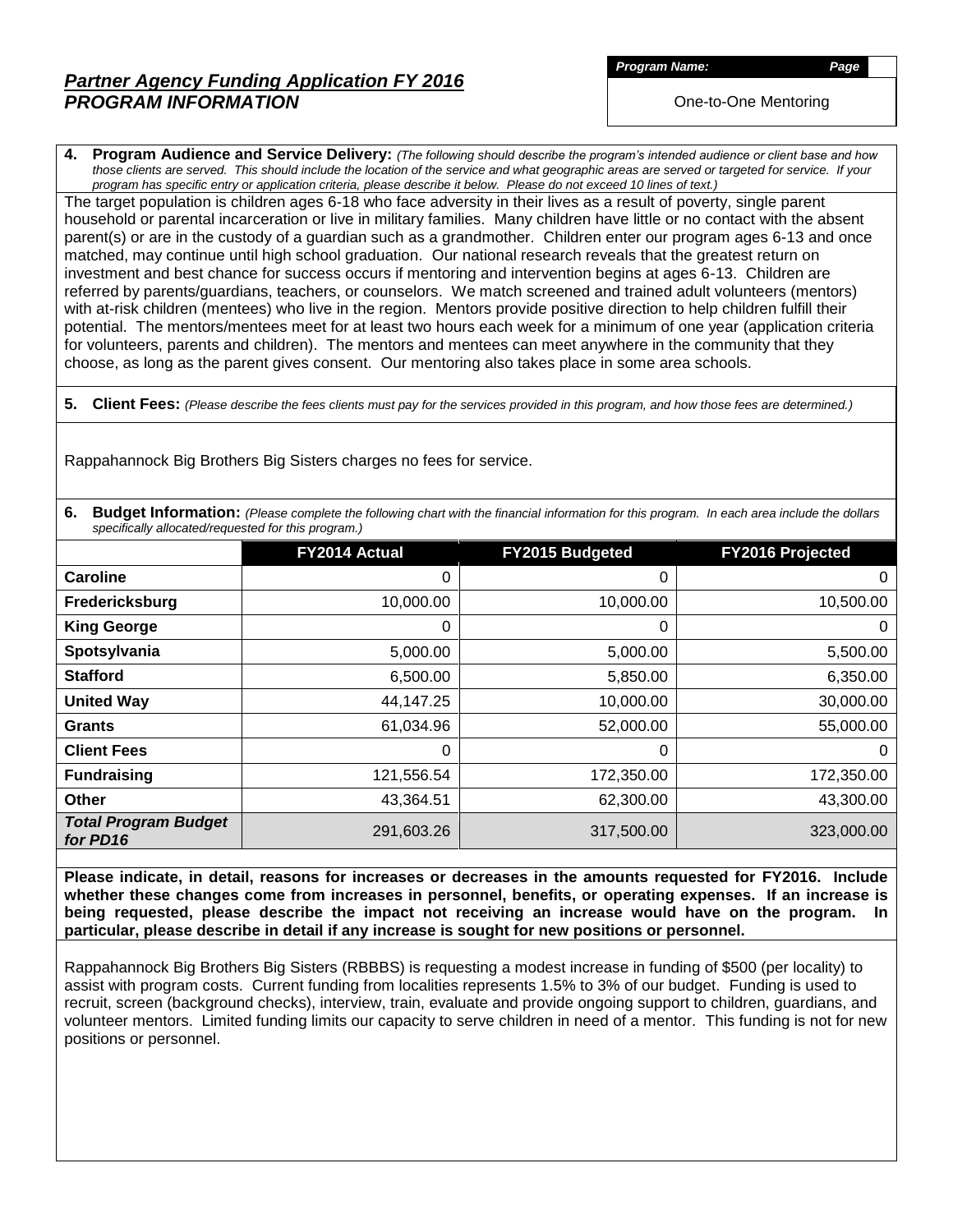# *Partner Agency Funding Application FY 2016 PROGRAM INFORMATION*

*Program Name: Page*

One-to-One Mentoring

**4. Program Audience and Service Delivery:** *(The following should describe the program's intended audience or client base and how those clients are served. This should include the location of the service and what geographic areas are served or targeted for service. If your program has specific entry or application criteria, please describe it below. Please do not exceed 10 lines of text.)*

The target population is children ages 6-18 who face adversity in their lives as a result of poverty, single parent household or parental incarceration or live in military families. Many children have little or no contact with the absent parent(s) or are in the custody of a guardian such as a grandmother. Children enter our program ages 6-13 and once matched, may continue until high school graduation. Our national research reveals that the greatest return on investment and best chance for success occurs if mentoring and intervention begins at ages 6-13. Children are referred by parents/guardians, teachers, or counselors. We match screened and trained adult volunteers (mentors) with at-risk children (mentees) who live in the region. Mentors provide positive direction to help children fulfill their potential. The mentors/mentees meet for at least two hours each week for a minimum of one year (application criteria for volunteers, parents and children). The mentors and mentees can meet anywhere in the community that they choose, as long as the parent gives consent. Our mentoring also takes place in some area schools.

**5. Client Fees:** *(Please describe the fees clients must pay for the services provided in this program, and how those fees are determined.)*

Rappahannock Big Brothers Big Sisters charges no fees for service.

**6.** Budget Information: (Please complete the following chart with the financial information for this program. In each area include the dollars *specifically allocated/requested for this program.)*

|                                         | FY2014 Actual | FY2015 Budgeted | FY2016 Projected |
|-----------------------------------------|---------------|-----------------|------------------|
| Caroline                                | 0             | 0               | 0                |
| Fredericksburg                          | 10,000.00     | 10,000.00       | 10,500.00        |
| <b>King George</b>                      | 0             | 0               | $\mathbf 0$      |
| Spotsylvania                            | 5,000.00      | 5,000.00        | 5,500.00         |
| <b>Stafford</b>                         | 6,500.00      | 5,850.00        | 6,350.00         |
| <b>United Way</b>                       | 44,147.25     | 10,000.00       | 30,000.00        |
| <b>Grants</b>                           | 61,034.96     | 52,000.00       | 55,000.00        |
| <b>Client Fees</b>                      | 0             | 0               | $\mathbf 0$      |
| <b>Fundraising</b>                      | 121,556.54    | 172,350.00      | 172,350.00       |
| <b>Other</b>                            | 43,364.51     | 62,300.00       | 43,300.00        |
| <b>Total Program Budget</b><br>for PD16 | 291,603.26    | 317,500.00      | 323,000.00       |

**Please indicate, in detail, reasons for increases or decreases in the amounts requested for FY2016. Include whether these changes come from increases in personnel, benefits, or operating expenses. If an increase is being requested, please describe the impact not receiving an increase would have on the program. In particular, please describe in detail if any increase is sought for new positions or personnel.**

Rappahannock Big Brothers Big Sisters (RBBBS) is requesting a modest increase in funding of \$500 (per locality) to assist with program costs. Current funding from localities represents 1.5% to 3% of our budget. Funding is used to recruit, screen (background checks), interview, train, evaluate and provide ongoing support to children, guardians, and volunteer mentors. Limited funding limits our capacity to serve children in need of a mentor. This funding is not for new positions or personnel.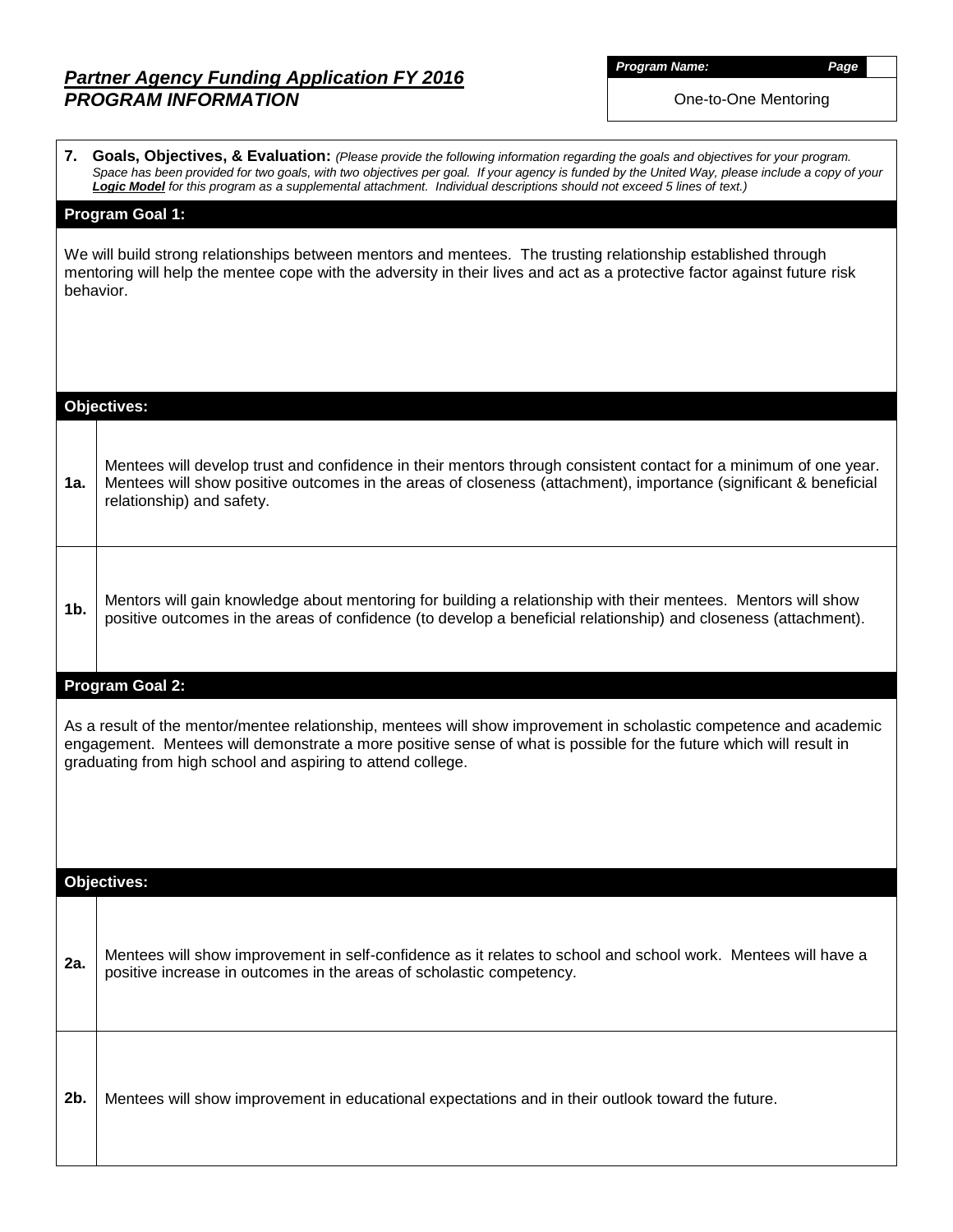# *Partner Agency Funding Application FY 2016 PROGRAM INFORMATION*

*Program Name: Page*

One-to-One Mentoring

|                | 7. Goals, Objectives, & Evaluation: (Please provide the following information regarding the goals and objectives for your program.<br>Space has been provided for two goals, with two objectives per goal. If your agency is funded by the United Way, please include a copy of your<br>Logic Model for this program as a supplemental attachment. Individual descriptions should not exceed 5 lines of text.) |
|----------------|----------------------------------------------------------------------------------------------------------------------------------------------------------------------------------------------------------------------------------------------------------------------------------------------------------------------------------------------------------------------------------------------------------------|
|                | <b>Program Goal 1:</b>                                                                                                                                                                                                                                                                                                                                                                                         |
|                | We will build strong relationships between mentors and mentees. The trusting relationship established through<br>mentoring will help the mentee cope with the adversity in their lives and act as a protective factor against future risk<br>behavior.                                                                                                                                                         |
|                |                                                                                                                                                                                                                                                                                                                                                                                                                |
|                | <b>Objectives:</b>                                                                                                                                                                                                                                                                                                                                                                                             |
| 1a.            | Mentees will develop trust and confidence in their mentors through consistent contact for a minimum of one year.<br>Mentees will show positive outcomes in the areas of closeness (attachment), importance (significant & beneficial<br>relationship) and safety.                                                                                                                                              |
| 1 <sub>b</sub> | Mentors will gain knowledge about mentoring for building a relationship with their mentees. Mentors will show<br>positive outcomes in the areas of confidence (to develop a beneficial relationship) and closeness (attachment).                                                                                                                                                                               |
|                | <b>Program Goal 2:</b>                                                                                                                                                                                                                                                                                                                                                                                         |
|                | As a result of the mentor/mentee relationship, mentees will show improvement in scholastic competence and academic<br>engagement. Mentees will demonstrate a more positive sense of what is possible for the future which will result in<br>graduating from high school and aspiring to attend college.                                                                                                        |
|                |                                                                                                                                                                                                                                                                                                                                                                                                                |
|                | Objectives:                                                                                                                                                                                                                                                                                                                                                                                                    |
| 2a.            | Mentees will show improvement in self-confidence as it relates to school and school work. Mentees will have a<br>positive increase in outcomes in the areas of scholastic competency.                                                                                                                                                                                                                          |
| 2b.            | Mentees will show improvement in educational expectations and in their outlook toward the future.                                                                                                                                                                                                                                                                                                              |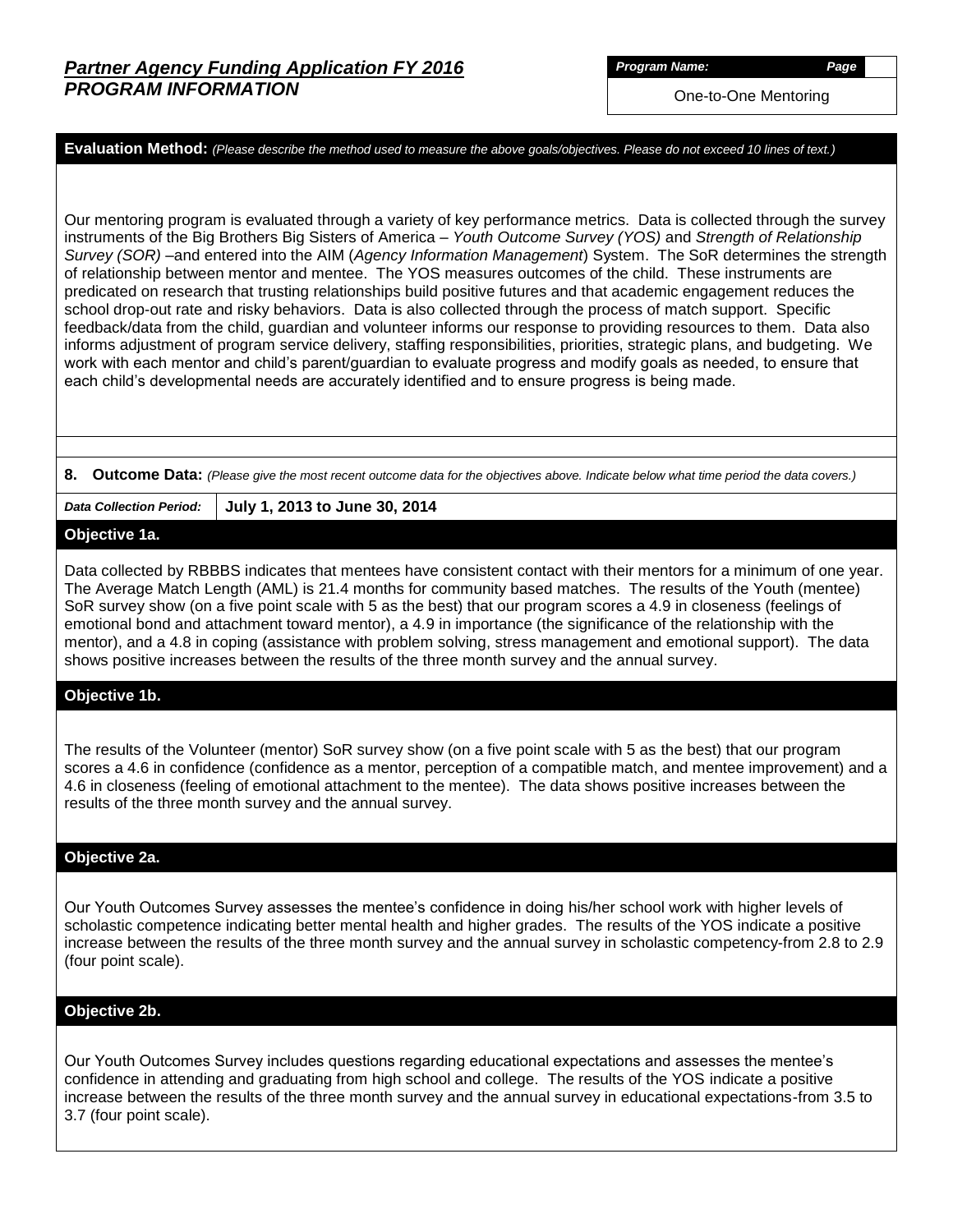*Program Name: Page*

One-to-One Mentoring

**Evaluation Method:** *(Please describe the method used to measure the above goals/objectives. Please do not exceed 10 lines of text.)*

Our mentoring program is evaluated through a variety of key performance metrics. Data is collected through the survey instruments of the Big Brothers Big Sisters of America – *Youth Outcome Survey (YOS)* and *Strength of Relationship Survey (SOR)* –and entered into the AIM (*Agency Information Management*) System. The SoR determines the strength of relationship between mentor and mentee. The YOS measures outcomes of the child. These instruments are predicated on research that trusting relationships build positive futures and that academic engagement reduces the school drop-out rate and risky behaviors. Data is also collected through the process of match support. Specific feedback/data from the child, guardian and volunteer informs our response to providing resources to them. Data also informs adjustment of program service delivery, staffing responsibilities, priorities, strategic plans, and budgeting. We work with each mentor and child's parent/guardian to evaluate progress and modify goals as needed, to ensure that each child's developmental needs are accurately identified and to ensure progress is being made.

#### **8. Outcome Data:** *(Please give the most recent outcome data for the objectives above. Indicate below what time period the data covers.)*

*Data Collection Period:* **July 1, 2013 to June 30, 2014**

#### **Objective 1a.**

Data collected by RBBBS indicates that mentees have consistent contact with their mentors for a minimum of one year. The Average Match Length (AML) is 21.4 months for community based matches. The results of the Youth (mentee) SoR survey show (on a five point scale with 5 as the best) that our program scores a 4.9 in closeness (feelings of emotional bond and attachment toward mentor), a 4.9 in importance (the significance of the relationship with the mentor), and a 4.8 in coping (assistance with problem solving, stress management and emotional support). The data shows positive increases between the results of the three month survey and the annual survey.

### **Objective 1b.**

The results of the Volunteer (mentor) SoR survey show (on a five point scale with 5 as the best) that our program scores a 4.6 in confidence (confidence as a mentor, perception of a compatible match, and mentee improvement) and a 4.6 in closeness (feeling of emotional attachment to the mentee). The data shows positive increases between the results of the three month survey and the annual survey.

### **Objective 2a.**

Our Youth Outcomes Survey assesses the mentee's confidence in doing his/her school work with higher levels of scholastic competence indicating better mental health and higher grades. The results of the YOS indicate a positive increase between the results of the three month survey and the annual survey in scholastic competency-from 2.8 to 2.9 (four point scale).

#### **Objective 2b.**

Our Youth Outcomes Survey includes questions regarding educational expectations and assesses the mentee's confidence in attending and graduating from high school and college. The results of the YOS indicate a positive increase between the results of the three month survey and the annual survey in educational expectations-from 3.5 to 3.7 (four point scale).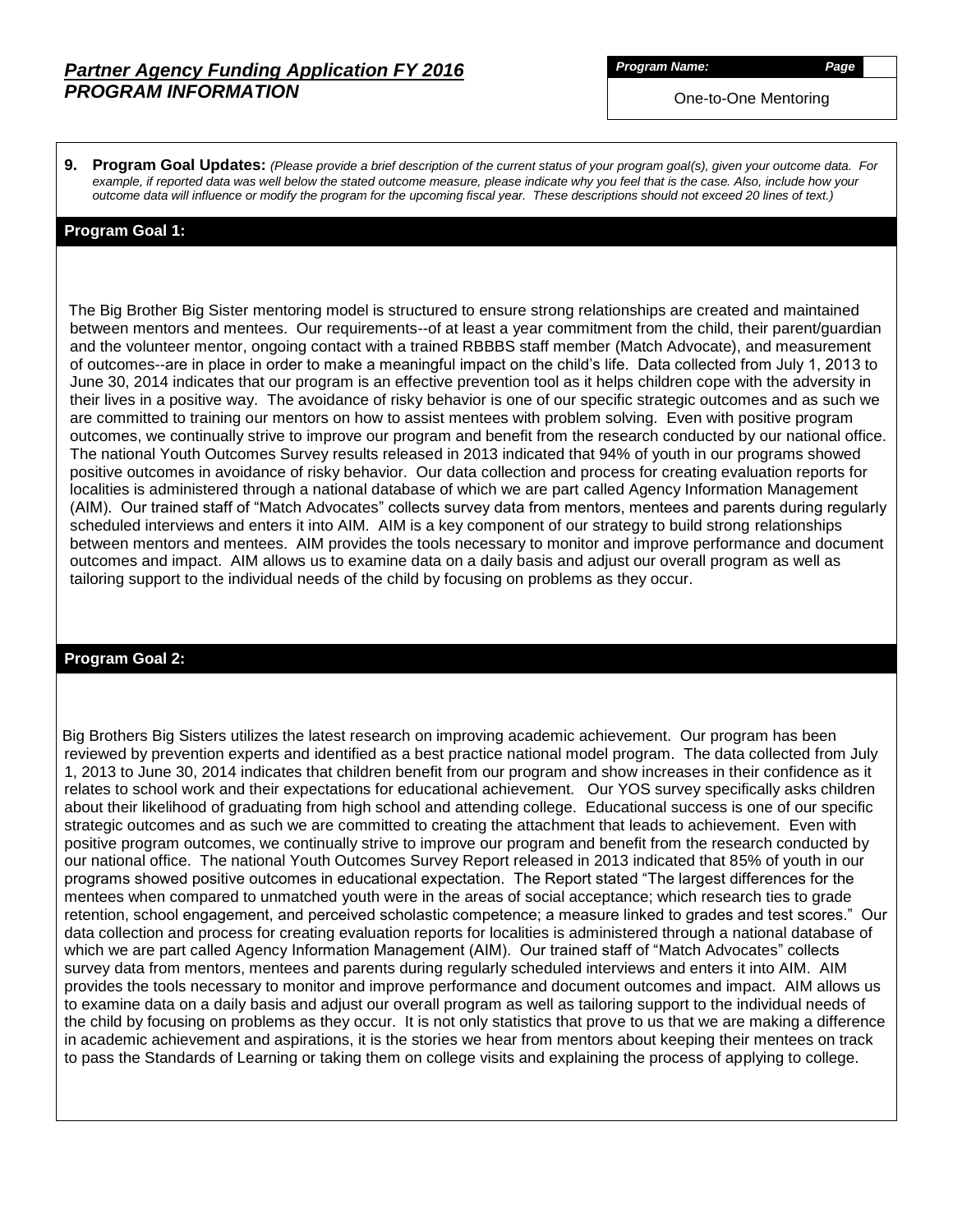## *Partner Agency Funding Application FY 2016 PROGRAM INFORMATION*

*Program Name: Page*

One-to-One Mentoring

**9. Program Goal Updates:** *(Please provide a brief description of the current status of your program goal(s), given your outcome data. For example, if reported data was well below the stated outcome measure, please indicate why you feel that is the case. Also, include how your outcome data will influence or modify the program for the upcoming fiscal year. These descriptions should not exceed 20 lines of text.)*

### **Program Goal 1:**

The Big Brother Big Sister mentoring model is structured to ensure strong relationships are created and maintained between mentors and mentees. Our requirements--of at least a year commitment from the child, their parent/guardian and the volunteer mentor, ongoing contact with a trained RBBBS staff member (Match Advocate), and measurement of outcomes--are in place in order to make a meaningful impact on the child's life. Data collected from July 1, 2013 to June 30, 2014 indicates that our program is an effective prevention tool as it helps children cope with the adversity in their lives in a positive way. The avoidance of risky behavior is one of our specific strategic outcomes and as such we are committed to training our mentors on how to assist mentees with problem solving. Even with positive program outcomes, we continually strive to improve our program and benefit from the research conducted by our national office. The national Youth Outcomes Survey results released in 2013 indicated that 94% of youth in our programs showed positive outcomes in avoidance of risky behavior. Our data collection and process for creating evaluation reports for localities is administered through a national database of which we are part called Agency Information Management (AIM). Our trained staff of "Match Advocates" collects survey data from mentors, mentees and parents during regularly scheduled interviews and enters it into AIM. AIM is a key component of our strategy to build strong relationships between mentors and mentees. AIM provides the tools necessary to monitor and improve performance and document outcomes and impact. AIM allows us to examine data on a daily basis and adjust our overall program as well as tailoring support to the individual needs of the child by focusing on problems as they occur.

### **Program Goal 2:**

 Big Brothers Big Sisters utilizes the latest research on improving academic achievement. Our program has been reviewed by prevention experts and identified as a best practice national model program. The data collected from July 1, 2013 to June 30, 2014 indicates that children benefit from our program and show increases in their confidence as it relates to school work and their expectations for educational achievement. Our YOS survey specifically asks children about their likelihood of graduating from high school and attending college. Educational success is one of our specific strategic outcomes and as such we are committed to creating the attachment that leads to achievement. Even with positive program outcomes, we continually strive to improve our program and benefit from the research conducted by our national office. The national Youth Outcomes Survey Report released in 2013 indicated that 85% of youth in our programs showed positive outcomes in educational expectation. The Report stated "The largest differences for the mentees when compared to unmatched youth were in the areas of social acceptance; which research ties to grade retention, school engagement, and perceived scholastic competence; a measure linked to grades and test scores." Our data collection and process for creating evaluation reports for localities is administered through a national database of which we are part called Agency Information Management (AIM). Our trained staff of "Match Advocates" collects survey data from mentors, mentees and parents during regularly scheduled interviews and enters it into AIM. AIM provides the tools necessary to monitor and improve performance and document outcomes and impact. AIM allows us to examine data on a daily basis and adjust our overall program as well as tailoring support to the individual needs of the child by focusing on problems as they occur. It is not only statistics that prove to us that we are making a difference in academic achievement and aspirations, it is the stories we hear from mentors about keeping their mentees on track to pass the Standards of Learning or taking them on college visits and explaining the process of applying to college.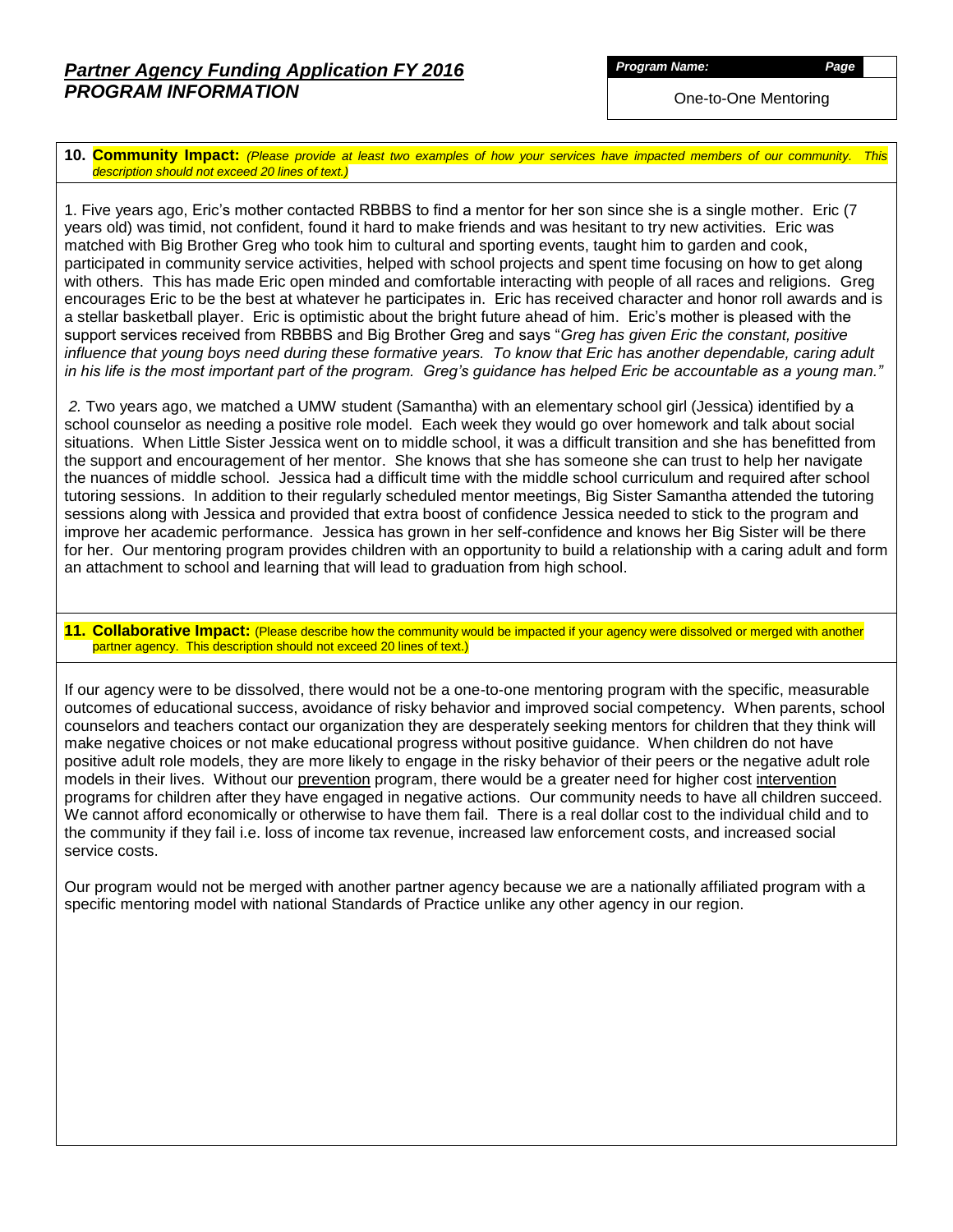One-to-One Mentoring

**10. Community Impact:** *(Please provide at least two examples of how your services have impacted members of our community. This description should not exceed 20 lines of text.)*

1. Five years ago, Eric's mother contacted RBBBS to find a mentor for her son since she is a single mother. Eric (7 years old) was timid, not confident, found it hard to make friends and was hesitant to try new activities. Eric was matched with Big Brother Greg who took him to cultural and sporting events, taught him to garden and cook, participated in community service activities, helped with school projects and spent time focusing on how to get along with others. This has made Eric open minded and comfortable interacting with people of all races and religions. Greg encourages Eric to be the best at whatever he participates in. Eric has received character and honor roll awards and is a stellar basketball player. Eric is optimistic about the bright future ahead of him. Eric's mother is pleased with the support services received from RBBBS and Big Brother Greg and says "*Greg has given Eric the constant, positive influence that young boys need during these formative years. To know that Eric has another dependable, caring adult in his life is the most important part of the program. Greg's guidance has helped Eric be accountable as a young man."*

*2.* Two years ago, we matched a UMW student (Samantha) with an elementary school girl (Jessica) identified by a school counselor as needing a positive role model. Each week they would go over homework and talk about social situations. When Little Sister Jessica went on to middle school, it was a difficult transition and she has benefitted from the support and encouragement of her mentor. She knows that she has someone she can trust to help her navigate the nuances of middle school. Jessica had a difficult time with the middle school curriculum and required after school tutoring sessions. In addition to their regularly scheduled mentor meetings, Big Sister Samantha attended the tutoring sessions along with Jessica and provided that extra boost of confidence Jessica needed to stick to the program and improve her academic performance. Jessica has grown in her self-confidence and knows her Big Sister will be there for her. Our mentoring program provides children with an opportunity to build a relationship with a caring adult and form an attachment to school and learning that will lead to graduation from high school.

**11. Collaborative Impact:** (Please describe how the community would be impacted if your agency were dissolved or merged with another partner agency. This description should not exceed 20 lines of text.)

If our agency were to be dissolved, there would not be a one-to-one mentoring program with the specific, measurable outcomes of educational success, avoidance of risky behavior and improved social competency. When parents, school counselors and teachers contact our organization they are desperately seeking mentors for children that they think will make negative choices or not make educational progress without positive guidance. When children do not have positive adult role models, they are more likely to engage in the risky behavior of their peers or the negative adult role models in their lives. Without our prevention program, there would be a greater need for higher cost intervention programs for children after they have engaged in negative actions. Our community needs to have all children succeed. We cannot afford economically or otherwise to have them fail. There is a real dollar cost to the individual child and to the community if they fail i.e. loss of income tax revenue, increased law enforcement costs, and increased social service costs.

Our program would not be merged with another partner agency because we are a nationally affiliated program with a specific mentoring model with national Standards of Practice unlike any other agency in our region.